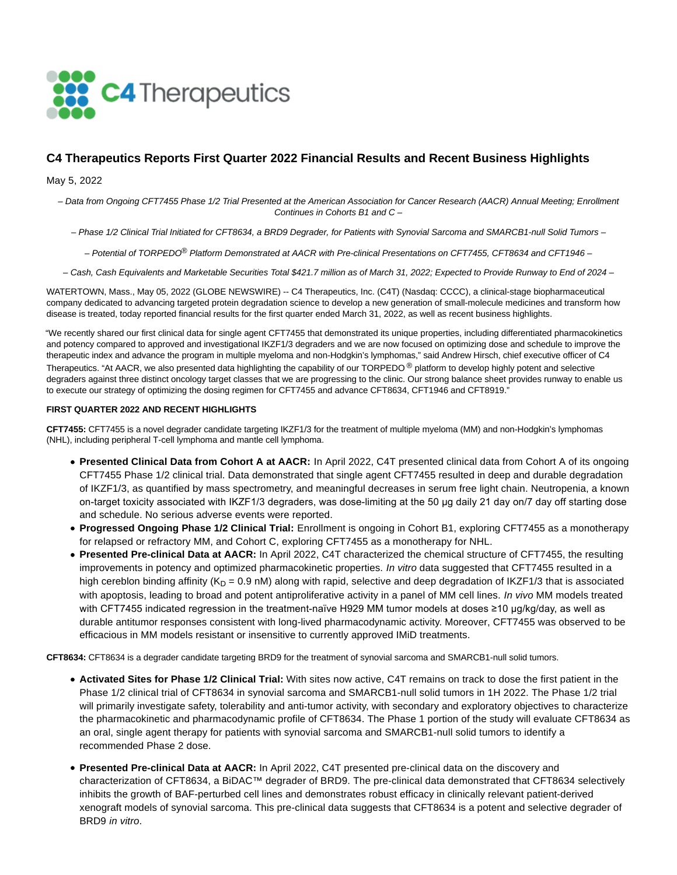

# **C4 Therapeutics Reports First Quarter 2022 Financial Results and Recent Business Highlights**

May 5, 2022

– Data from Ongoing CFT7455 Phase 1/2 Trial Presented at the American Association for Cancer Research (AACR) Annual Meeting; Enrollment Continues in Cohorts B1 and C –

– Phase 1/2 Clinical Trial Initiated for CFT8634, a BRD9 Degrader, for Patients with Synovial Sarcoma and SMARCB1-null Solid Tumors –

– Potential of TORPEDO® Platform Demonstrated at AACR with Pre-clinical Presentations on CFT7455, CFT8634 and CFT1946 –

– Cash, Cash Equivalents and Marketable Securities Total \$421.7 million as of March 31, 2022; Expected to Provide Runway to End of 2024 –

WATERTOWN, Mass., May 05, 2022 (GLOBE NEWSWIRE) -- C4 Therapeutics, Inc. (C4T) (Nasdaq: CCCC), a clinical-stage biopharmaceutical company dedicated to advancing targeted protein degradation science to develop a new generation of small-molecule medicines and transform how disease is treated, today reported financial results for the first quarter ended March 31, 2022, as well as recent business highlights.

"We recently shared our first clinical data for single agent CFT7455 that demonstrated its unique properties, including differentiated pharmacokinetics and potency compared to approved and investigational IKZF1/3 degraders and we are now focused on optimizing dose and schedule to improve the therapeutic index and advance the program in multiple myeloma and non-Hodgkin's lymphomas," said Andrew Hirsch, chief executive officer of C4 Therapeutics. "At AACR, we also presented data highlighting the capability of our TORPEDO<sup>®</sup> platform to develop highly potent and selective degraders against three distinct oncology target classes that we are progressing to the clinic. Our strong balance sheet provides runway to enable us to execute our strategy of optimizing the dosing regimen for CFT7455 and advance CFT8634, CFT1946 and CFT8919."

#### **FIRST QUARTER 2022 AND RECENT HIGHLIGHTS**

**CFT7455:** CFT7455 is a novel degrader candidate targeting IKZF1/3 for the treatment of multiple myeloma (MM) and non-Hodgkin's lymphomas (NHL), including peripheral T-cell lymphoma and mantle cell lymphoma.

- **Presented Clinical Data from Cohort A at AACR:** In April 2022, C4T presented clinical data from Cohort A of its ongoing CFT7455 Phase 1/2 clinical trial. Data demonstrated that single agent CFT7455 resulted in deep and durable degradation of IKZF1/3, as quantified by mass spectrometry, and meaningful decreases in serum free light chain. Neutropenia, a known on-target toxicity associated with IKZF1/3 degraders, was dose-limiting at the 50 µg daily 21 day on/7 day off starting dose and schedule. No serious adverse events were reported.
- **Progressed Ongoing Phase 1/2 Clinical Trial:** Enrollment is ongoing in Cohort B1, exploring CFT7455 as a monotherapy for relapsed or refractory MM, and Cohort C, exploring CFT7455 as a monotherapy for NHL.
- **Presented Pre-clinical Data at AACR:** In April 2022, C4T characterized the chemical structure of CFT7455, the resulting improvements in potency and optimized pharmacokinetic properties. In vitro data suggested that CFT7455 resulted in a high cereblon binding affinity ( $K_D = 0.9$  nM) along with rapid, selective and deep degradation of IKZF1/3 that is associated with apoptosis, leading to broad and potent antiproliferative activity in a panel of MM cell lines. In vivo MM models treated with CFT7455 indicated regression in the treatment-naïve H929 MM tumor models at doses ≥10 µg/kg/day, as well as durable antitumor responses consistent with long-lived pharmacodynamic activity. Moreover, CFT7455 was observed to be efficacious in MM models resistant or insensitive to currently approved IMiD treatments.

**CFT8634:** CFT8634 is a degrader candidate targeting BRD9 for the treatment of synovial sarcoma and SMARCB1-null solid tumors.

- **Activated Sites for Phase 1/2 Clinical Trial:** With sites now active, C4T remains on track to dose the first patient in the Phase 1/2 clinical trial of CFT8634 in synovial sarcoma and SMARCB1-null solid tumors in 1H 2022. The Phase 1/2 trial will primarily investigate safety, tolerability and anti-tumor activity, with secondary and exploratory objectives to characterize the pharmacokinetic and pharmacodynamic profile of CFT8634. The Phase 1 portion of the study will evaluate CFT8634 as an oral, single agent therapy for patients with synovial sarcoma and SMARCB1-null solid tumors to identify a recommended Phase 2 dose.
- **Presented Pre-clinical Data at AACR:** In April 2022, C4T presented pre-clinical data on the discovery and characterization of CFT8634, a BiDAC™ degrader of BRD9. The pre-clinical data demonstrated that CFT8634 selectively inhibits the growth of BAF-perturbed cell lines and demonstrates robust efficacy in clinically relevant patient-derived xenograft models of synovial sarcoma. This pre-clinical data suggests that CFT8634 is a potent and selective degrader of BRD9 in vitro.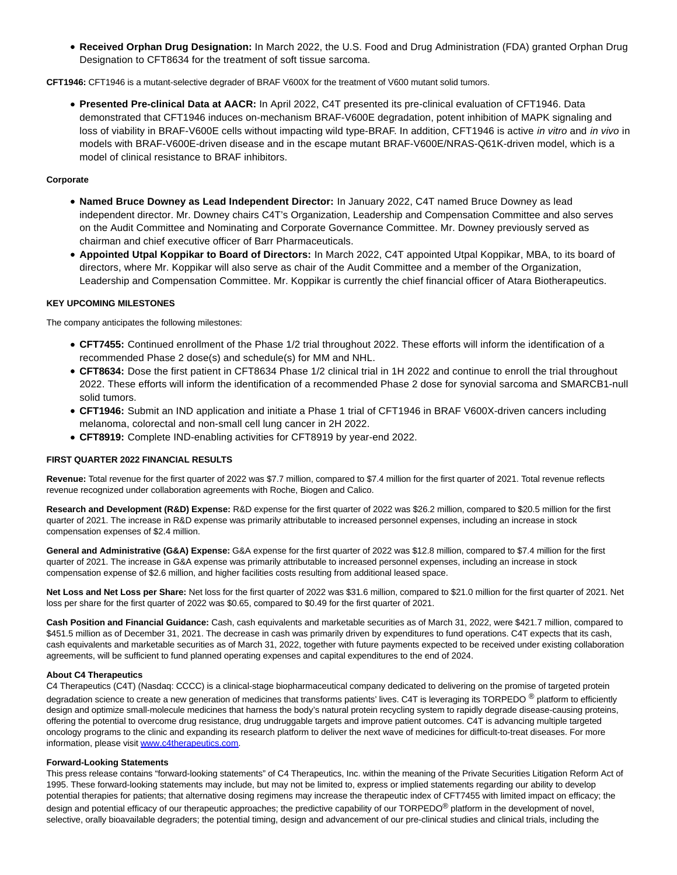**Received Orphan Drug Designation:** In March 2022, the U.S. Food and Drug Administration (FDA) granted Orphan Drug Designation to CFT8634 for the treatment of soft tissue sarcoma.

**CFT1946:** CFT1946 is a mutant-selective degrader of BRAF V600X for the treatment of V600 mutant solid tumors.

**Presented Pre-clinical Data at AACR:** In April 2022, C4T presented its pre-clinical evaluation of CFT1946. Data demonstrated that CFT1946 induces on-mechanism BRAF-V600E degradation, potent inhibition of MAPK signaling and loss of viability in BRAF-V600E cells without impacting wild type-BRAF. In addition, CFT1946 is active in vitro and in vivo in models with BRAF-V600E-driven disease and in the escape mutant BRAF-V600E/NRAS-Q61K-driven model, which is a model of clinical resistance to BRAF inhibitors.

### **Corporate**

- **Named Bruce Downey as Lead Independent Director:** In January 2022, C4T named Bruce Downey as lead independent director. Mr. Downey chairs C4T's Organization, Leadership and Compensation Committee and also serves on the Audit Committee and Nominating and Corporate Governance Committee. Mr. Downey previously served as chairman and chief executive officer of Barr Pharmaceuticals.
- **Appointed Utpal Koppikar to Board of Directors:** In March 2022, C4T appointed Utpal Koppikar, MBA, to its board of directors, where Mr. Koppikar will also serve as chair of the Audit Committee and a member of the Organization, Leadership and Compensation Committee. Mr. Koppikar is currently the chief financial officer of Atara Biotherapeutics.

#### **KEY UPCOMING MILESTONES**

The company anticipates the following milestones:

- **CFT7455:** Continued enrollment of the Phase 1/2 trial throughout 2022. These efforts will inform the identification of a recommended Phase 2 dose(s) and schedule(s) for MM and NHL.
- **CFT8634:** Dose the first patient in CFT8634 Phase 1/2 clinical trial in 1H 2022 and continue to enroll the trial throughout 2022. These efforts will inform the identification of a recommended Phase 2 dose for synovial sarcoma and SMARCB1-null solid tumors.
- **CFT1946:** Submit an IND application and initiate a Phase 1 trial of CFT1946 in BRAF V600X-driven cancers including melanoma, colorectal and non-small cell lung cancer in 2H 2022.
- **CFT8919:** Complete IND-enabling activities for CFT8919 by year-end 2022.

#### **FIRST QUARTER 2022 FINANCIAL RESULTS**

**Revenue:** Total revenue for the first quarter of 2022 was \$7.7 million, compared to \$7.4 million for the first quarter of 2021. Total revenue reflects revenue recognized under collaboration agreements with Roche, Biogen and Calico.

**Research and Development (R&D) Expense:** R&D expense for the first quarter of 2022 was \$26.2 million, compared to \$20.5 million for the first quarter of 2021. The increase in R&D expense was primarily attributable to increased personnel expenses, including an increase in stock compensation expenses of \$2.4 million.

General and Administrative (G&A) Expense: G&A expense for the first quarter of 2022 was \$12.8 million, compared to \$7.4 million for the first quarter of 2021. The increase in G&A expense was primarily attributable to increased personnel expenses, including an increase in stock compensation expense of \$2.6 million, and higher facilities costs resulting from additional leased space.

**Net Loss and Net Loss per Share:** Net loss for the first quarter of 2022 was \$31.6 million, compared to \$21.0 million for the first quarter of 2021. Net loss per share for the first quarter of 2022 was \$0.65, compared to \$0.49 for the first quarter of 2021.

**Cash Position and Financial Guidance:** Cash, cash equivalents and marketable securities as of March 31, 2022, were \$421.7 million, compared to \$451.5 million as of December 31, 2021. The decrease in cash was primarily driven by expenditures to fund operations. C4T expects that its cash, cash equivalents and marketable securities as of March 31, 2022, together with future payments expected to be received under existing collaboration agreements, will be sufficient to fund planned operating expenses and capital expenditures to the end of 2024.

#### **About C4 Therapeutics**

C4 Therapeutics (C4T) (Nasdaq: CCCC) is a clinical-stage biopharmaceutical company dedicated to delivering on the promise of targeted protein degradation science to create a new generation of medicines that transforms patients' lives. C4T is leveraging its TORPEDO<sup>®</sup> platform to efficiently design and optimize small-molecule medicines that harness the body's natural protein recycling system to rapidly degrade disease-causing proteins, offering the potential to overcome drug resistance, drug undruggable targets and improve patient outcomes. C4T is advancing multiple targeted oncology programs to the clinic and expanding its research platform to deliver the next wave of medicines for difficult-to-treat diseases. For more information, please visi[t www.c4therapeutics.com.](https://www.globenewswire.com/Tracker?data=2R2IOrLg3XF3nqZ3O2z3WwC2nge7k8tvyKn1xE6VYTMXMkEeVBqzLmFsPc_TVz9n-SutDOaJWc2e50KsS3OsxDQyyeEkmSTfZvo3srpVNHs=)

#### **Forward-Looking Statements**

This press release contains "forward-looking statements" of C4 Therapeutics, Inc. within the meaning of the Private Securities Litigation Reform Act of 1995. These forward-looking statements may include, but may not be limited to, express or implied statements regarding our ability to develop potential therapies for patients; that alternative dosing regimens may increase the therapeutic index of CFT7455 with limited impact on efficacy; the design and potential efficacy of our therapeutic approaches; the predictive capability of our TORPEDO<sup>®</sup> platform in the development of novel, selective, orally bioavailable degraders; the potential timing, design and advancement of our pre-clinical studies and clinical trials, including the